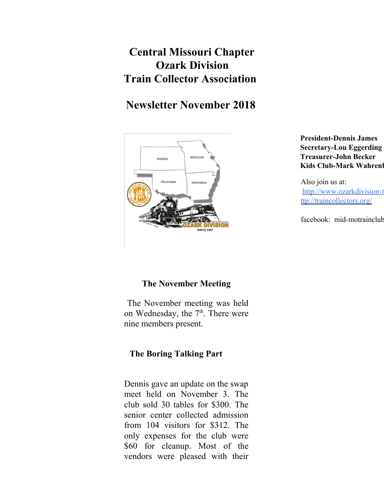# **Central Missouri Chapter Ozark Division Train Collector Association**

# **Newsletter November 2018**



**President-Dennis James Secretary-Lou Eggerding Treasurer-John Becker Kids Club-Mark Wahrenl** 

Also join us at: http://www.ozarkdivision-t ttp://traincollectors.org/

facebook: mid-motrainclub

# **The November Meeting**

 The November meeting was held on Wednesday, the  $7<sup>th</sup>$ . There were nine members present.

## **The Boring Talking Part**

Dennis gave an update on the swap meet held on November 3. The club sold 30 tables for \$300. The senior center collected admission from 104 visitors for \$312. The only expenses for the club were \$60 for cleanup. Most of the vendors were pleased with their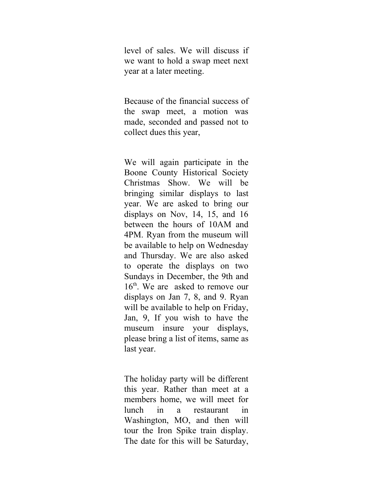level of sales. We will discuss if we want to hold a swap meet next year at a later meeting.

Because of the financial success of the swap meet, a motion was made, seconded and passed not to collect dues this year,

We will again participate in the Boone County Historical Society Christmas Show. We will be bringing similar displays to last year. We are asked to bring our displays on Nov, 14, 15, and 16 between the hours of 10AM and 4PM. Ryan from the museum will be available to help on Wednesday and Thursday. We are also asked to operate the displays on two Sundays in December, the 9th and 16<sup>th</sup>. We are asked to remove our displays on Jan 7, 8, and 9. Ryan will be available to help on Friday, Jan, 9, If you wish to have the museum insure your displays, please bring a list of items, same as last year.

The holiday party will be different this year. Rather than meet at a members home, we will meet for lunch in a restaurant in Washington, MO, and then will tour the Iron Spike train display. The date for this will be Saturday,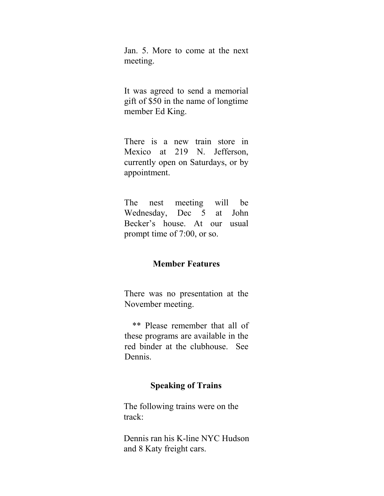Jan. 5. More to come at the next meeting.

It was agreed to send a memorial gift of \$50 in the name of longtime member Ed King.

There is a new train store in Mexico at 219 N. Jefferson, currently open on Saturdays, or by appointment.

The nest meeting will be Wednesday, Dec 5 at John Becker's house. At our usual prompt time of 7:00, or so.

#### **Member Features**

There was no presentation at the November meeting.

 \*\* Please remember that all of these programs are available in the red binder at the clubhouse. See Dennis.

#### **Speaking of Trains**

The following trains were on the track:

Dennis ran his K-line NYC Hudson and 8 Katy freight cars.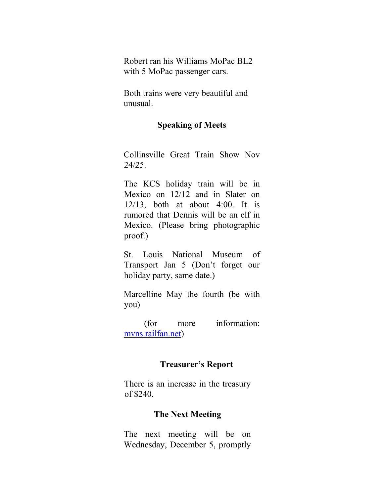Robert ran his Williams MoPac BL2 with 5 MoPac passenger cars.

Both trains were very beautiful and unusual.

### **Speaking of Meets**

Collinsville Great Train Show Nov 24/25.

The KCS holiday train will be in Mexico on 12/12 and in Slater on 12/13, both at about 4:00. It is rumored that Dennis will be an elf in Mexico. (Please bring photographic proof.)

St. Louis National Museum of Transport Jan 5 (Don't forget our holiday party, same date.)

Marcelline May the fourth (be with you)

 (for more information: mvns.railfan.net)

## **Treasurer's Report**

There is an increase in the treasury of \$240.

### **The Next Meeting**

The next meeting will be on Wednesday, December 5, promptly